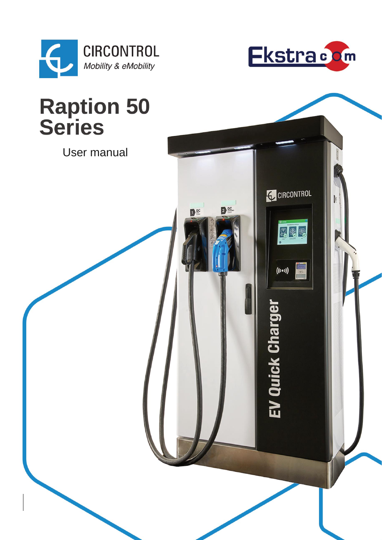



**C**CIRCONTROL

gog

 $((\cdots))$ 

EV Quick Charger

 $\mathbf{P}^{\text{cc}}$ 

Dec

## **Raption 50<br>Series**

User manual

V.1.6 2021 - Andrew Constitution and the constitution of the constitution of the constitution of the constitution of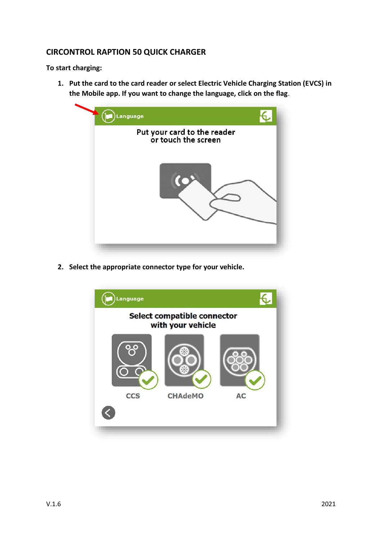## **CIRCONTROL RAPTION 50 QUICK CHARGER**

**To start charging:**

**1. Put the card to the card reader or select Electric Vehicle Charging Station (EVCS) in the Mobile app. If you want to change the language, click on the flag**.



**2. Select the appropriate connector type for your vehicle.**

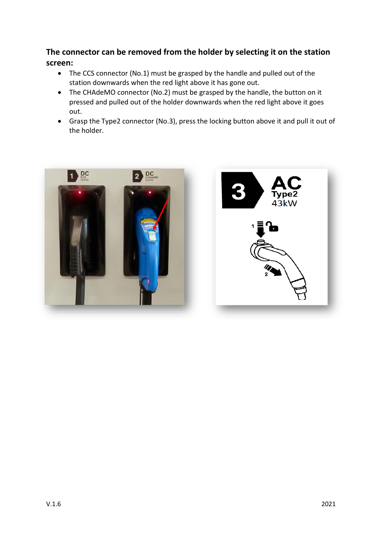## **The connector can be removed from the holder by selecting it on the station screen:**

- The CCS connector (No.1) must be grasped by the handle and pulled out of the station downwards when the red light above it has gone out.
- The CHAdeMO connector (No.2) must be grasped by the handle, the button on it pressed and pulled out of the holder downwards when the red light above it goes out.
- Grasp the Type2 connector (No.3), press the locking button above it and pull it out of the holder.